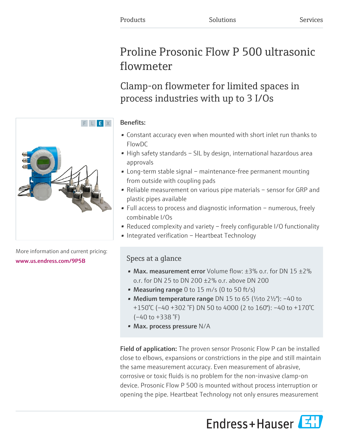# Proline Prosonic Flow P 500 ultrasonic flowmeter

Clamp-on flowmeter for limited spaces in process industries with up to 3 I/Os

# Benefits:

- Constant accuracy even when mounted with short inlet run thanks to FlowDC
- High safety standards SIL by design, international hazardous area approvals
- Long-term stable signal maintenance-free permanent mounting from outside with coupling pads
- Reliable measurement on various pipe materials sensor for GRP and plastic pipes available
- Full access to process and diagnostic information numerous, freely combinable I/Os
- Reduced complexity and variety freely configurable I/O functionality
- Integrated verification Heartbeat Technology

# Specs at a glance

- Max. measurement error Volume flow:  $\pm 3\%$  o.r. for DN 15  $\pm 2\%$ o.r. for DN 25 to DN 200 ±2% o.r. above DN 200
- Measuring range 0 to 15 m/s (0 to 50 ft/s)
- Medium temperature range DN 15 to 65 ( $\frac{1}{2}$ to 2 $\frac{1}{2}$ "): -40 to +150°C (–40 +302 °F) DN 50 to 4000 (2 to 160"): –40 to +170°C  $(-40 \text{ to } +338 \text{ }^{\circ}\text{F})$
- Max. process pressure N/A

Field of application: The proven sensor Prosonic Flow P can be installed close to elbows, expansions or constrictions in the pipe and still maintain the same measurement accuracy. Even measurement of abrasive, corrosive or toxic fluids is no problem for the non-invasive clamp-on device. Prosonic Flow P 500 is mounted without process interruption or opening the pipe. Heartbeat Technology not only ensures measurement





More information and current pricing: [www.us.endress.com/9P5B](https://www.us.endress.com/9P5B)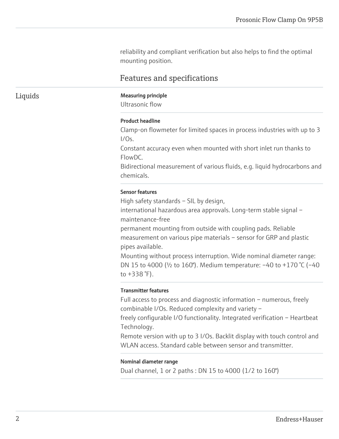reliability and compliant verification but also helps to find the optimal mounting position.

# Features and specifications

#### Liquids Measuring principle

Ultrasonic flow

#### Product headline

Clamp-on flowmeter for limited spaces in process industries with up to 3  $1/OS$ .

Constant accuracy even when mounted with short inlet run thanks to FlowDC.

Bidirectional measurement of various fluids, e.g. liquid hydrocarbons and chemicals.

#### Sensor features

High safety standards – SIL by design,

international hazardous area approvals. Long-term stable signal – maintenance-free

permanent mounting from outside with coupling pads. Reliable measurement on various pipe materials – sensor for GRP and plastic pipes available.

Mounting without process interruption. Wide nominal diameter range: DN 15 to 4000 (½ to 160"). Medium temperature: –40 to +170 °C (–40 to +338 °F).

#### Transmitter features

Full access to process and diagnostic information – numerous, freely combinable I/Os. Reduced complexity and variety –

freely configurable I/O functionality. Integrated verification – Heartbeat Technology.

Remote version with up to 3 I/Os. Backlit display with touch control and WLAN access. Standard cable between sensor and transmitter.

#### Nominal diameter range

Dual channel, 1 or 2 paths : DN 15 to 4000 (1/2 to 160")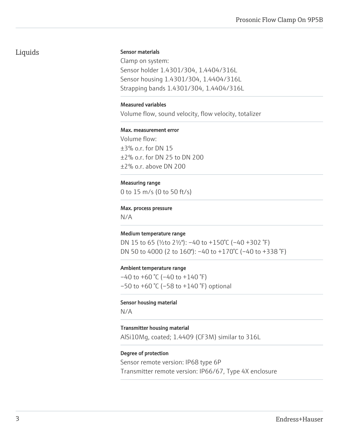# Liquids

#### Sensor materials

Clamp on system: Sensor holder 1.4301/304, 1.4404/316L Sensor housing 1.4301/304, 1.4404/316L Strapping bands 1.4301/304, 1.4404/316L

#### Measured variables

Volume flow, sound velocity, flow velocity, totalizer

#### Max. measurement error

Volume flow: ±3% o.r. for DN 15 ±2% o.r. for DN 25 to DN 200 ±2% o.r. above DN 200

#### Measuring range

0 to 15 m/s (0 to 50 ft/s)

#### Max. process pressure

N/A

#### Medium temperature range

DN 15 to 65 (½to 2½"): –40 to +150°C (–40 +302 °F) DN 50 to 4000 (2 to 160"): –40 to +170°C (–40 to +338 °F)

#### Ambient temperature range

 $-40$  to  $+60$  °C ( $-40$  to  $+140$  °F)  $-50$  to  $+60$  °C ( $-58$  to  $+140$  °F) optional

#### Sensor housing material

N/A

#### Transmitter housing material

AlSi10Mg, coated; 1.4409 (CF3M) similar to 316L

#### Degree of protection

Sensor remote version: IP68 type 6P Transmitter remote version: IP66/67, Type 4X enclosure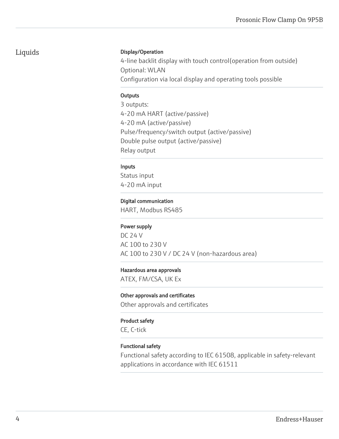# Liquids

### Display/Operation

4-line backlit display with touch control(operation from outside) Optional: WLAN Configuration via local display and operating tools possible

#### **Outputs**

3 outputs: 4-20 mA HART (active/passive) 4-20 mA (active/passive) Pulse/frequency/switch output (active/passive) Double pulse output (active/passive) Relay output

#### Inputs

Status input 4-20 mA input

#### Digital communication

HART, Modbus RS485

### Power supply

DC 24 V AC 100 to 230 V AC 100 to 230 V / DC 24 V (non-hazardous area)

#### Hazardous area approvals

ATEX, FM/CSA, UK Ex

#### Other approvals and certificates

Other approvals and certificates

#### Product safety

CE, C-tick

### Functional safety

Functional safety according to IEC 61508, applicable in safety-relevant applications in accordance with IEC 61511